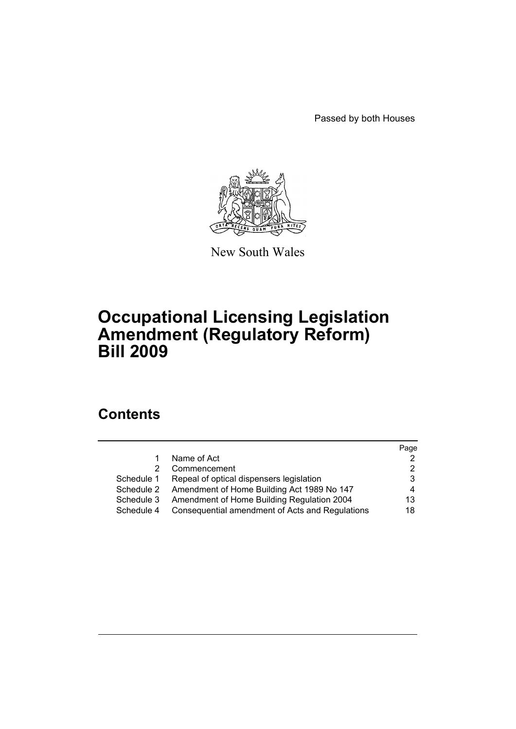Passed by both Houses



New South Wales

# **Occupational Licensing Legislation Amendment (Regulatory Reform) Bill 2009**

# **Contents**

|                                                 | Page |
|-------------------------------------------------|------|
| Name of Act                                     |      |
| Commencement                                    |      |
| Repeal of optical dispensers legislation        | 3    |
| Amendment of Home Building Act 1989 No 147      |      |
| Amendment of Home Building Regulation 2004      | 13   |
| Consequential amendment of Acts and Regulations | 18   |
|                                                 |      |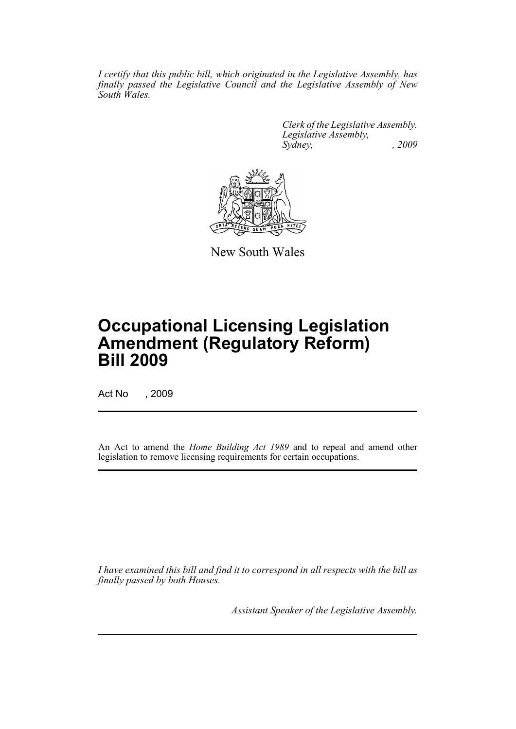*I certify that this public bill, which originated in the Legislative Assembly, has finally passed the Legislative Council and the Legislative Assembly of New South Wales.*

> *Clerk of the Legislative Assembly. Legislative Assembly, Sydney, , 2009*



New South Wales

# **Occupational Licensing Legislation Amendment (Regulatory Reform) Bill 2009**

Act No , 2009

An Act to amend the *Home Building Act 1989* and to repeal and amend other legislation to remove licensing requirements for certain occupations.

*I have examined this bill and find it to correspond in all respects with the bill as finally passed by both Houses.*

*Assistant Speaker of the Legislative Assembly.*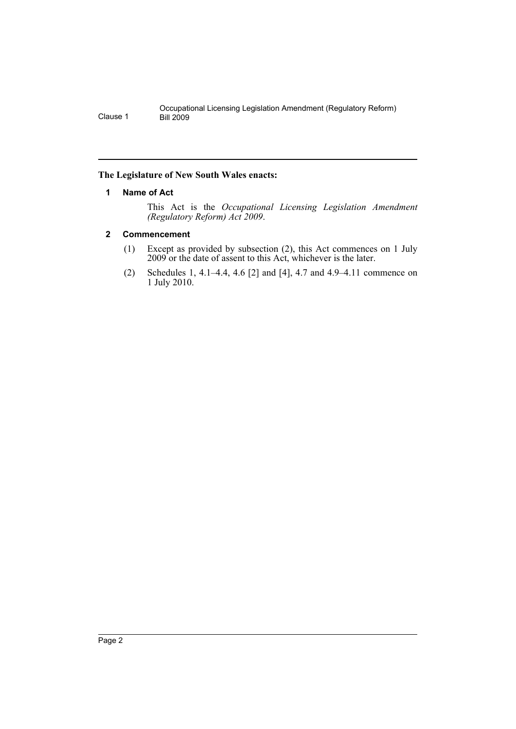#### <span id="page-2-0"></span>**The Legislature of New South Wales enacts:**

#### **1 Name of Act**

This Act is the *Occupational Licensing Legislation Amendment (Regulatory Reform) Act 2009*.

#### <span id="page-2-1"></span>**2 Commencement**

- (1) Except as provided by subsection (2), this Act commences on 1 July 2009 or the date of assent to this Act, whichever is the later.
- (2) Schedules 1, 4.1–4.4, 4.6 [2] and [4], 4.7 and 4.9–4.11 commence on 1 July 2010.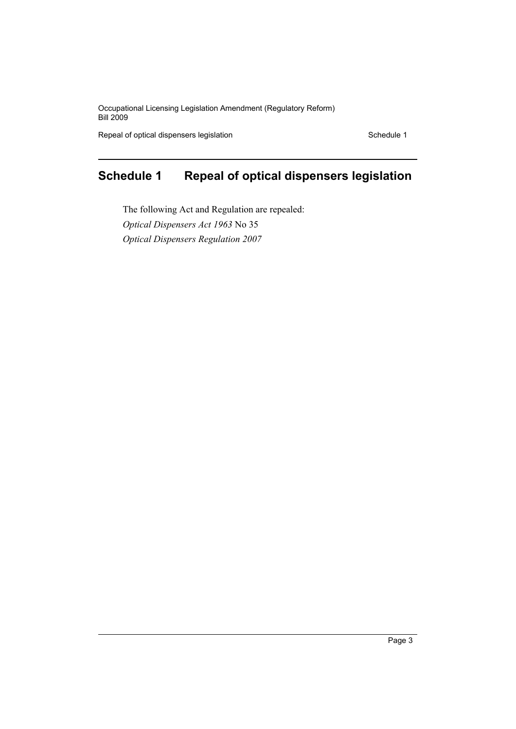Repeal of optical dispensers legislation Schedule 1

# <span id="page-3-0"></span>**Schedule 1 Repeal of optical dispensers legislation**

The following Act and Regulation are repealed: *Optical Dispensers Act 1963* No 35 *Optical Dispensers Regulation 2007*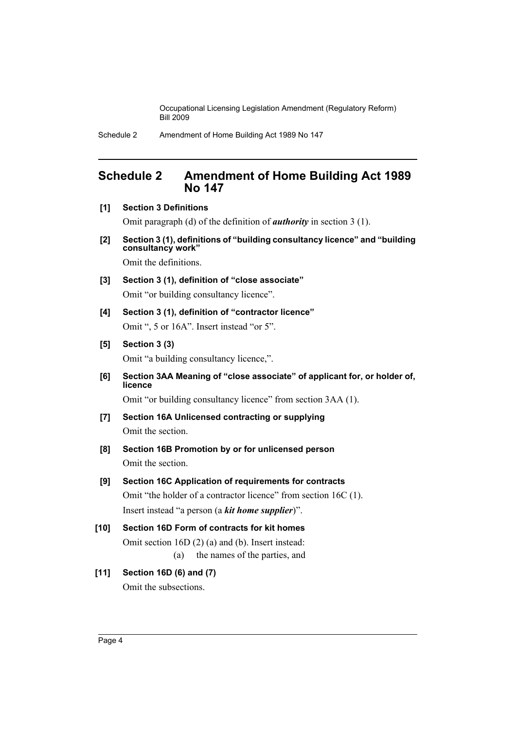Schedule 2 Amendment of Home Building Act 1989 No 147

# <span id="page-4-0"></span>**Schedule 2 Amendment of Home Building Act 1989 No 147**

**[1] Section 3 Definitions**

Omit paragraph (d) of the definition of *authority* in section 3 (1).

**[2] Section 3 (1), definitions of "building consultancy licence" and "building consultancy work"** Omit the definitions.

- **[3] Section 3 (1), definition of "close associate"** Omit "or building consultancy licence".
- **[4] Section 3 (1), definition of "contractor licence"** Omit ", 5 or 16A". Insert instead "or 5".
- **[5] Section 3 (3)**

Omit "a building consultancy licence,".

**[6] Section 3AA Meaning of "close associate" of applicant for, or holder of, licence**

Omit "or building consultancy licence" from section 3AA (1).

- **[7] Section 16A Unlicensed contracting or supplying** Omit the section.
- **[8] Section 16B Promotion by or for unlicensed person** Omit the section.
- **[9] Section 16C Application of requirements for contracts**

Omit "the holder of a contractor licence" from section 16C (1). Insert instead "a person (a *kit home supplier*)".

```
[10] Section 16D Form of contracts for kit homes
Omit section 16D (2) (a) and (b). Insert instead:
             (a) the names of the parties, and
```
# **[11] Section 16D (6) and (7)**

Omit the subsections.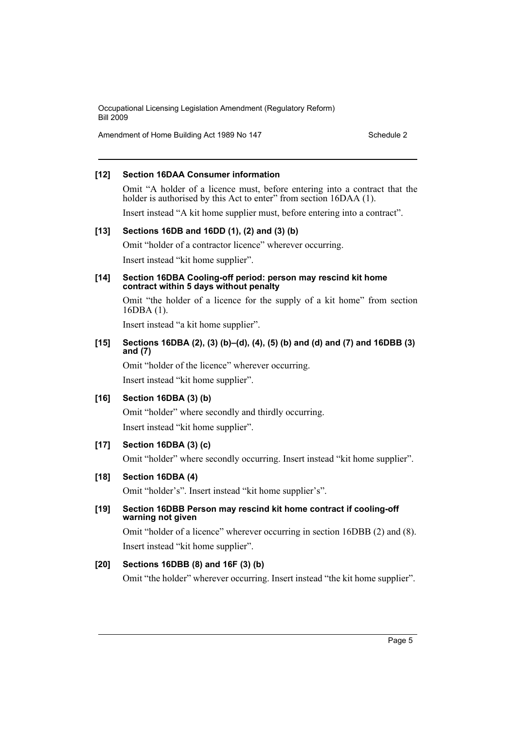Amendment of Home Building Act 1989 No 147

#### **[12] Section 16DAA Consumer information**

Omit "A holder of a licence must, before entering into a contract that the holder is authorised by this Act to enter" from section 16DAA (1).

Insert instead "A kit home supplier must, before entering into a contract".

#### **[13] Sections 16DB and 16DD (1), (2) and (3) (b)**

Omit "holder of a contractor licence" wherever occurring. Insert instead "kit home supplier".

#### **[14] Section 16DBA Cooling-off period: person may rescind kit home contract within 5 days without penalty**

Omit "the holder of a licence for the supply of a kit home" from section 16DBA (1).

Insert instead "a kit home supplier".

#### **[15] Sections 16DBA (2), (3) (b)–(d), (4), (5) (b) and (d) and (7) and 16DBB (3) and (7)**

Omit "holder of the licence" wherever occurring. Insert instead "kit home supplier".

#### **[16] Section 16DBA (3) (b)**

Omit "holder" where secondly and thirdly occurring. Insert instead "kit home supplier".

#### **[17] Section 16DBA (3) (c)**

Omit "holder" where secondly occurring. Insert instead "kit home supplier".

#### **[18] Section 16DBA (4)**

Omit "holder's". Insert instead "kit home supplier's".

**[19] Section 16DBB Person may rescind kit home contract if cooling-off warning not given**

Omit "holder of a licence" wherever occurring in section 16DBB (2) and (8). Insert instead "kit home supplier".

#### **[20] Sections 16DBB (8) and 16F (3) (b)**

Omit "the holder" wherever occurring. Insert instead "the kit home supplier".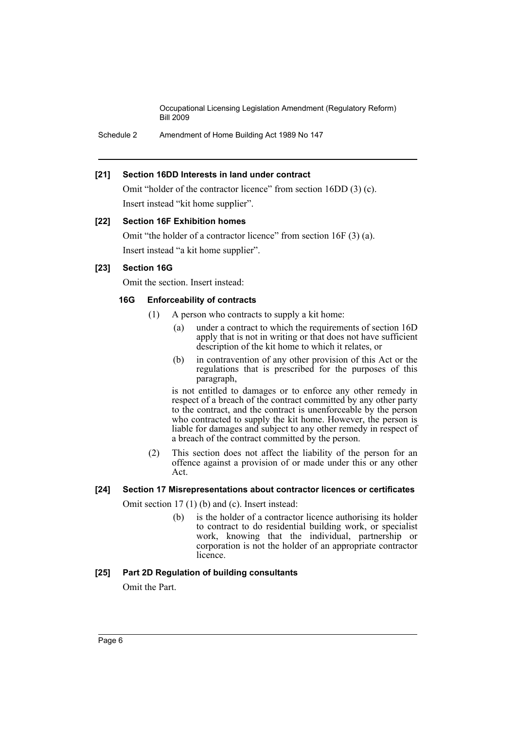Schedule 2 Amendment of Home Building Act 1989 No 147

#### **[21] Section 16DD Interests in land under contract**

Omit "holder of the contractor licence" from section 16DD (3) (c). Insert instead "kit home supplier".

#### **[22] Section 16F Exhibition homes**

Omit "the holder of a contractor licence" from section 16F (3) (a). Insert instead "a kit home supplier".

#### **[23] Section 16G**

Omit the section. Insert instead:

#### **16G Enforceability of contracts**

- (1) A person who contracts to supply a kit home:
	- (a) under a contract to which the requirements of section 16D apply that is not in writing or that does not have sufficient description of the kit home to which it relates, or
	- (b) in contravention of any other provision of this Act or the regulations that is prescribed for the purposes of this paragraph,

is not entitled to damages or to enforce any other remedy in respect of a breach of the contract committed by any other party to the contract, and the contract is unenforceable by the person who contracted to supply the kit home. However, the person is liable for damages and subject to any other remedy in respect of a breach of the contract committed by the person.

(2) This section does not affect the liability of the person for an offence against a provision of or made under this or any other Act.

#### **[24] Section 17 Misrepresentations about contractor licences or certificates**

Omit section 17 (1) (b) and (c). Insert instead:

(b) is the holder of a contractor licence authorising its holder to contract to do residential building work, or specialist work, knowing that the individual, partnership or corporation is not the holder of an appropriate contractor licence.

#### **[25] Part 2D Regulation of building consultants**

Omit the Part.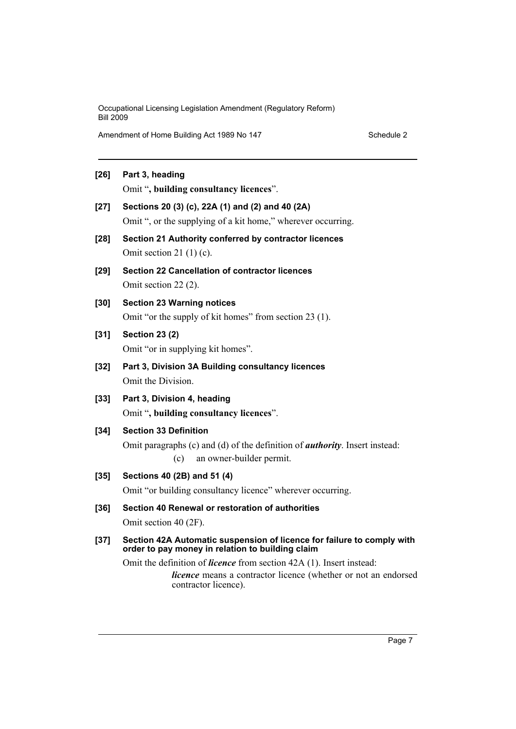Amendment of Home Building Act 1989 No 147

#### **[26] Part 3, heading**

Omit "**, building consultancy licences**".

- **[27] Sections 20 (3) (c), 22A (1) and (2) and 40 (2A)** Omit ", or the supplying of a kit home," wherever occurring.
- **[28] Section 21 Authority conferred by contractor licences** Omit section 21 (1) (c).
- **[29] Section 22 Cancellation of contractor licences** Omit section 22 (2).
- **[30] Section 23 Warning notices** Omit "or the supply of kit homes" from section 23 (1).
- **[31] Section 23 (2)** Omit "or in supplying kit homes".
- **[32] Part 3, Division 3A Building consultancy licences** Omit the Division.
- **[33] Part 3, Division 4, heading** Omit "**, building consultancy licences**".

# **[34] Section 33 Definition**

Omit paragraphs (c) and (d) of the definition of *authority*. Insert instead: (c) an owner-builder permit.

#### **[35] Sections 40 (2B) and 51 (4)**

Omit "or building consultancy licence" wherever occurring.

**[36] Section 40 Renewal or restoration of authorities** Omit section 40 (2F).

#### **[37] Section 42A Automatic suspension of licence for failure to comply with order to pay money in relation to building claim**

Omit the definition of *licence* from section 42A (1). Insert instead:

*licence* means a contractor licence (whether or not an endorsed contractor licence).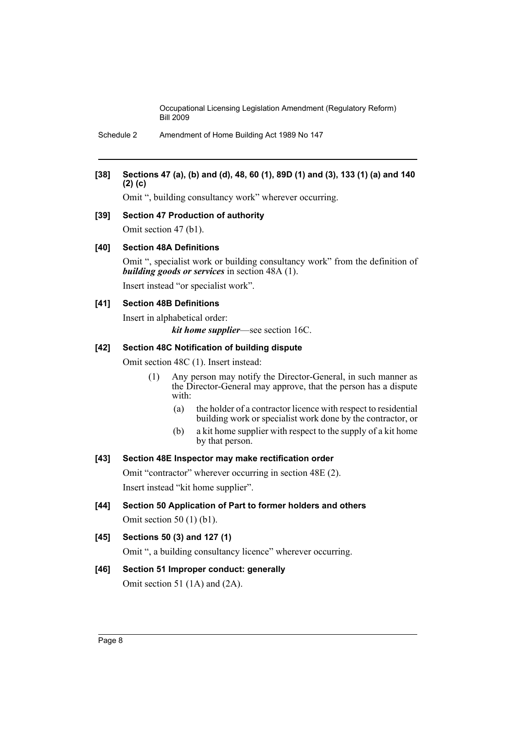Schedule 2 Amendment of Home Building Act 1989 No 147

#### **[38] Sections 47 (a), (b) and (d), 48, 60 (1), 89D (1) and (3), 133 (1) (a) and 140 (2) (c)**

Omit ", building consultancy work" wherever occurring.

#### **[39] Section 47 Production of authority**

Omit section 47 (b1).

#### **[40] Section 48A Definitions**

Omit ", specialist work or building consultancy work" from the definition of *building goods or services* in section 48A (1).

Insert instead "or specialist work".

#### **[41] Section 48B Definitions**

Insert in alphabetical order: *kit home supplier*—see section 16C.

#### **[42] Section 48C Notification of building dispute**

Omit section 48C (1). Insert instead:

- (1) Any person may notify the Director-General, in such manner as the Director-General may approve, that the person has a dispute with:
	- (a) the holder of a contractor licence with respect to residential building work or specialist work done by the contractor, or
	- (b) a kit home supplier with respect to the supply of a kit home by that person.

#### **[43] Section 48E Inspector may make rectification order**

Omit "contractor" wherever occurring in section 48E (2). Insert instead "kit home supplier".

**[44] Section 50 Application of Part to former holders and others** Omit section 50 (1) (b1).

# **[45] Sections 50 (3) and 127 (1)**

Omit ", a building consultancy licence" wherever occurring.

# **[46] Section 51 Improper conduct: generally**

Omit section 51 (1A) and (2A).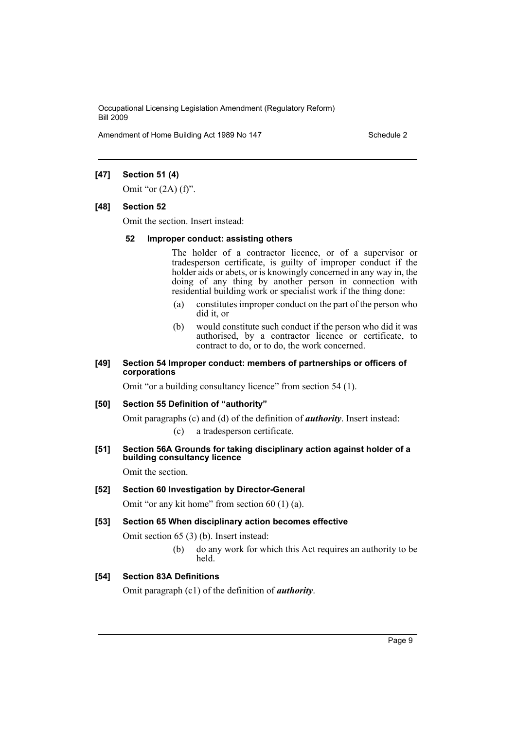Amendment of Home Building Act 1989 No 147

#### **[47] Section 51 (4)**

Omit "or  $(2A)$  (f)".

#### **[48] Section 52**

Omit the section. Insert instead:

#### **52 Improper conduct: assisting others**

The holder of a contractor licence, or of a supervisor or tradesperson certificate, is guilty of improper conduct if the holder aids or abets, or is knowingly concerned in any way in, the doing of any thing by another person in connection with residential building work or specialist work if the thing done:

- (a) constitutes improper conduct on the part of the person who did it, or
- (b) would constitute such conduct if the person who did it was authorised, by a contractor licence or certificate, to contract to do, or to do, the work concerned.

#### **[49] Section 54 Improper conduct: members of partnerships or officers of corporations**

Omit "or a building consultancy licence" from section 54 (1).

#### **[50] Section 55 Definition of "authority"**

Omit paragraphs (c) and (d) of the definition of *authority*. Insert instead:

- (c) a tradesperson certificate.
- **[51] Section 56A Grounds for taking disciplinary action against holder of a building consultancy licence**

Omit the section.

#### **[52] Section 60 Investigation by Director-General**

Omit "or any kit home" from section 60 (1) (a).

#### **[53] Section 65 When disciplinary action becomes effective**

Omit section 65 (3) (b). Insert instead:

(b) do any work for which this Act requires an authority to be held.

#### **[54] Section 83A Definitions**

Omit paragraph (c1) of the definition of *authority*.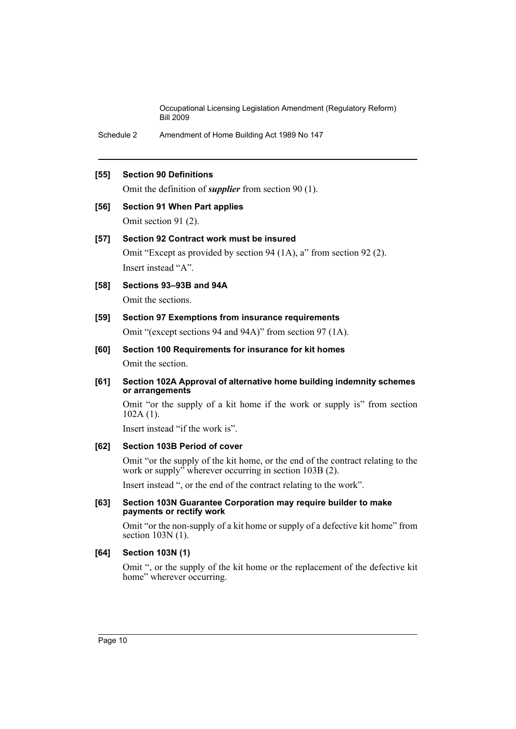Schedule 2 Amendment of Home Building Act 1989 No 147

#### **[55] Section 90 Definitions**

Omit the definition of *supplier* from section 90 (1).

#### **[56] Section 91 When Part applies**

Omit section 91 (2).

#### **[57] Section 92 Contract work must be insured**

Omit "Except as provided by section 94 (1A), a" from section 92 (2). Insert instead "A".

#### **[58] Sections 93–93B and 94A**

Omit the sections.

#### **[59] Section 97 Exemptions from insurance requirements**

Omit "(except sections 94 and 94A)" from section 97 (1A).

**[60] Section 100 Requirements for insurance for kit homes** Omit the section.

#### **[61] Section 102A Approval of alternative home building indemnity schemes or arrangements**

Omit "or the supply of a kit home if the work or supply is" from section 102A (1).

Insert instead "if the work is".

#### **[62] Section 103B Period of cover**

Omit "or the supply of the kit home, or the end of the contract relating to the work or supply<sup>3</sup> wherever occurring in section 103B (2).

Insert instead ", or the end of the contract relating to the work".

#### **[63] Section 103N Guarantee Corporation may require builder to make payments or rectify work**

Omit "or the non-supply of a kit home or supply of a defective kit home" from section 103N (1).

#### **[64] Section 103N (1)**

Omit ", or the supply of the kit home or the replacement of the defective kit home" wherever occurring.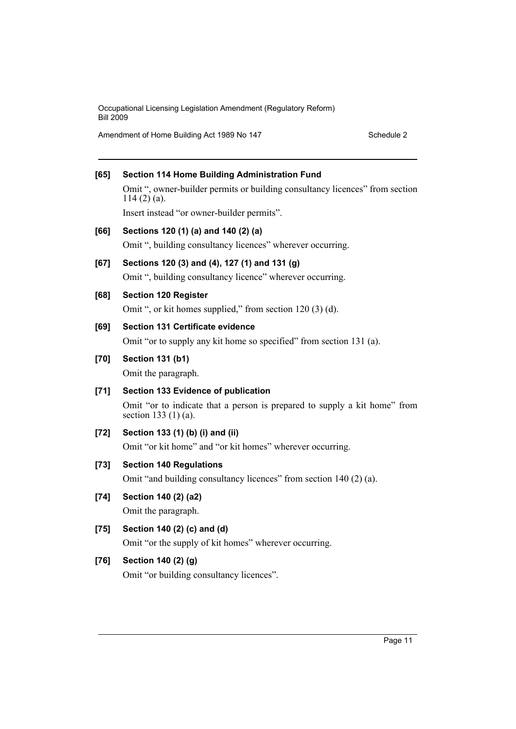Amendment of Home Building Act 1989 No 147

## **[65] Section 114 Home Building Administration Fund**

Omit ", owner-builder permits or building consultancy licences" from section 114 (2) (a).

Insert instead "or owner-builder permits".

#### **[66] Sections 120 (1) (a) and 140 (2) (a)**

Omit ", building consultancy licences" wherever occurring.

## **[67] Sections 120 (3) and (4), 127 (1) and 131 (g)**

Omit ", building consultancy licence" wherever occurring.

#### **[68] Section 120 Register**

Omit ", or kit homes supplied," from section 120 (3) (d).

#### **[69] Section 131 Certificate evidence**

Omit "or to supply any kit home so specified" from section 131 (a).

#### **[70] Section 131 (b1)**

Omit the paragraph.

#### **[71] Section 133 Evidence of publication**

Omit "or to indicate that a person is prepared to supply a kit home" from section 133 (1) (a).

#### **[72] Section 133 (1) (b) (i) and (ii)**

Omit "or kit home" and "or kit homes" wherever occurring.

#### **[73] Section 140 Regulations**

Omit "and building consultancy licences" from section 140 (2) (a).

**[74] Section 140 (2) (a2)**

Omit the paragraph.

### **[75] Section 140 (2) (c) and (d)**

Omit "or the supply of kit homes" wherever occurring.

#### **[76] Section 140 (2) (g)**

Omit "or building consultancy licences".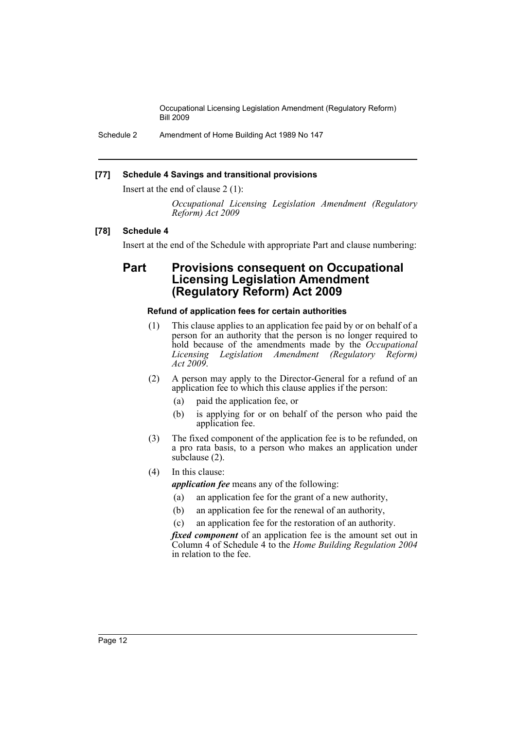Schedule 2 Amendment of Home Building Act 1989 No 147

#### **[77] Schedule 4 Savings and transitional provisions**

Insert at the end of clause 2 (1):

*Occupational Licensing Legislation Amendment (Regulatory Reform) Act 2009*

#### **[78] Schedule 4**

Insert at the end of the Schedule with appropriate Part and clause numbering:

# **Part Provisions consequent on Occupational Licensing Legislation Amendment (Regulatory Reform) Act 2009**

#### **Refund of application fees for certain authorities**

- (1) This clause applies to an application fee paid by or on behalf of a person for an authority that the person is no longer required to hold because of the amendments made by the *Occupational Licensing Legislation Amendment (Regulatory Reform) Act 2009*.
- (2) A person may apply to the Director-General for a refund of an application fee to which this clause applies if the person:
	- (a) paid the application fee, or
	- (b) is applying for or on behalf of the person who paid the application fee.
- (3) The fixed component of the application fee is to be refunded, on a pro rata basis, to a person who makes an application under subclause (2).
- (4) In this clause:

*application fee* means any of the following:

- (a) an application fee for the grant of a new authority,
- (b) an application fee for the renewal of an authority,
- (c) an application fee for the restoration of an authority.

*fixed component* of an application fee is the amount set out in Column 4 of Schedule 4 to the *Home Building Regulation 2004* in relation to the fee.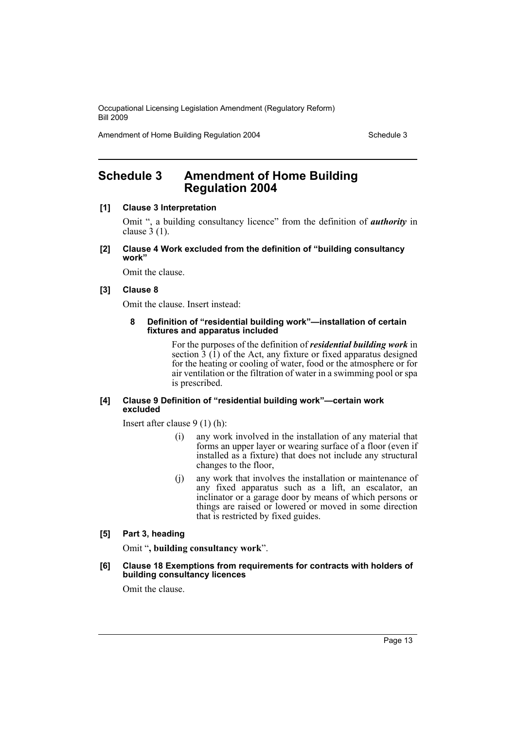Amendment of Home Building Regulation 2004 Schedule 3

# <span id="page-13-0"></span>**Schedule 3 Amendment of Home Building Regulation 2004**

#### **[1] Clause 3 Interpretation**

Omit ", a building consultancy licence" from the definition of *authority* in clause  $\dot{3}$  (1).

#### **[2] Clause 4 Work excluded from the definition of "building consultancy work"**

Omit the clause.

#### **[3] Clause 8**

Omit the clause. Insert instead:

#### **8 Definition of "residential building work"—installation of certain fixtures and apparatus included**

For the purposes of the definition of *residential building work* in section  $3$  (1) of the Act, any fixture or fixed apparatus designed for the heating or cooling of water, food or the atmosphere or for air ventilation or the filtration of water in a swimming pool or spa is prescribed.

#### **[4] Clause 9 Definition of "residential building work"—certain work excluded**

Insert after clause 9 (1) (h):

- (i) any work involved in the installation of any material that forms an upper layer or wearing surface of a floor (even if installed as a fixture) that does not include any structural changes to the floor,
- (j) any work that involves the installation or maintenance of any fixed apparatus such as a lift, an escalator, an inclinator or a garage door by means of which persons or things are raised or lowered or moved in some direction that is restricted by fixed guides.

#### **[5] Part 3, heading**

Omit "**, building consultancy work**".

#### **[6] Clause 18 Exemptions from requirements for contracts with holders of building consultancy licences**

Omit the clause.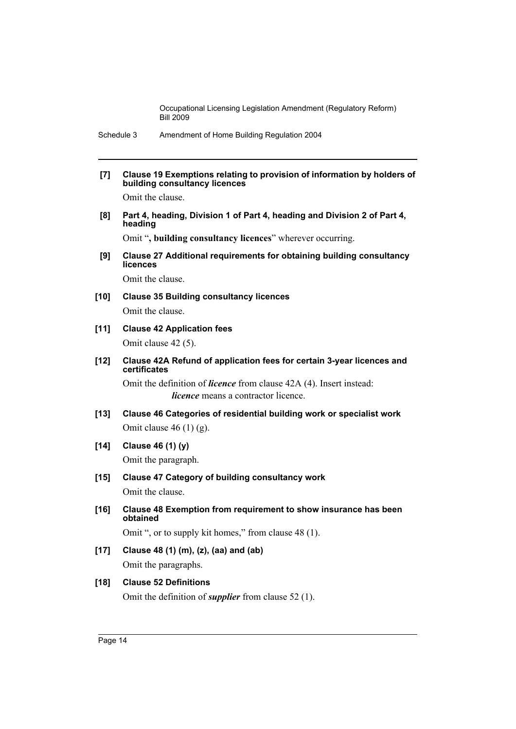#### **[7] Clause 19 Exemptions relating to provision of information by holders of building consultancy licences**

Omit the clause.

**[8] Part 4, heading, Division 1 of Part 4, heading and Division 2 of Part 4, heading**

Omit "**, building consultancy licences**" wherever occurring.

**[9] Clause 27 Additional requirements for obtaining building consultancy licences**

Omit the clause.

# **[10] Clause 35 Building consultancy licences** Omit the clause.

# **[11] Clause 42 Application fees**

Omit clause 42 (5).

**[12] Clause 42A Refund of application fees for certain 3-year licences and certificates**

Omit the definition of *licence* from clause 42A (4). Insert instead: *licence* means a contractor licence.

- **[13] Clause 46 Categories of residential building work or specialist work** Omit clause  $46(1)(g)$ .
- **[14] Clause 46 (1) (y)** Omit the paragraph.
- **[15] Clause 47 Category of building consultancy work**

Omit the clause.

**[16] Clause 48 Exemption from requirement to show insurance has been obtained**

Omit ", or to supply kit homes," from clause 48 (1).

- **[17] Clause 48 (1) (m), (z), (aa) and (ab)** Omit the paragraphs.
- **[18] Clause 52 Definitions** Omit the definition of *supplier* from clause 52 (1).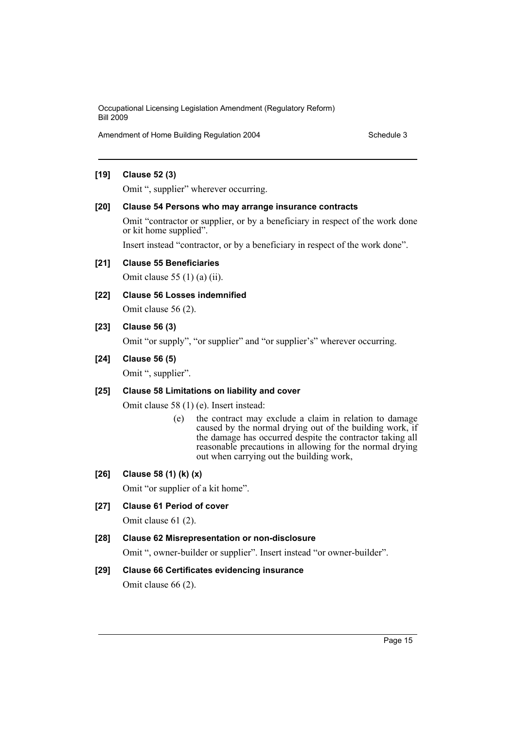Amendment of Home Building Regulation 2004 Schedule 3

#### **[19] Clause 52 (3)**

Omit ", supplier" wherever occurring.

#### **[20] Clause 54 Persons who may arrange insurance contracts**

Omit "contractor or supplier, or by a beneficiary in respect of the work done or kit home supplied".

Insert instead "contractor, or by a beneficiary in respect of the work done".

**[21] Clause 55 Beneficiaries**

Omit clause 55 (1) (a) (ii).

#### **[22] Clause 56 Losses indemnified**

Omit clause 56 (2).

## **[23] Clause 56 (3)**

Omit "or supply", "or supplier" and "or supplier's" wherever occurring.

#### **[24] Clause 56 (5)**

Omit ", supplier".

#### **[25] Clause 58 Limitations on liability and cover**

Omit clause 58 (1) (e). Insert instead:

(e) the contract may exclude a claim in relation to damage caused by the normal drying out of the building work, if the damage has occurred despite the contractor taking all reasonable precautions in allowing for the normal drying out when carrying out the building work,

#### **[26] Clause 58 (1) (k) (x)**

Omit "or supplier of a kit home".

#### **[27] Clause 61 Period of cover**

Omit clause 61 (2).

#### **[28] Clause 62 Misrepresentation or non-disclosure**

Omit ", owner-builder or supplier". Insert instead "or owner-builder".

#### **[29] Clause 66 Certificates evidencing insurance**

Omit clause 66 (2).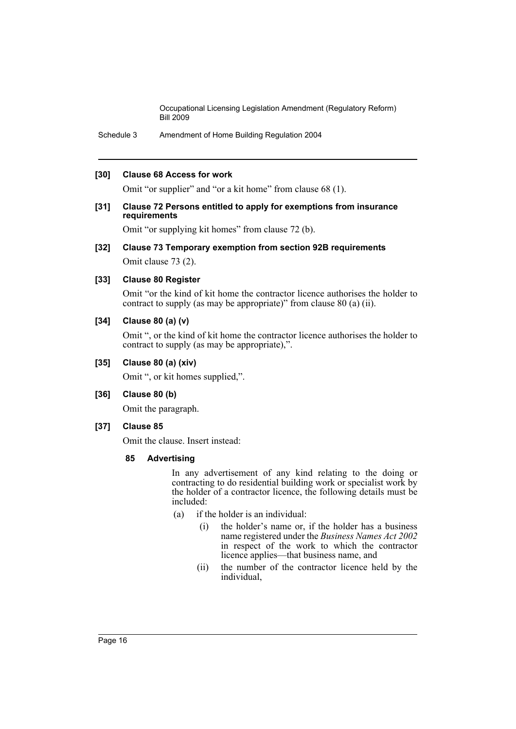Schedule 3 Amendment of Home Building Regulation 2004

#### **[30] Clause 68 Access for work**

Omit "or supplier" and "or a kit home" from clause 68 (1).

#### **[31] Clause 72 Persons entitled to apply for exemptions from insurance requirements**

Omit "or supplying kit homes" from clause 72 (b).

#### **[32] Clause 73 Temporary exemption from section 92B requirements**

Omit clause 73 (2).

#### **[33] Clause 80 Register**

Omit "or the kind of kit home the contractor licence authorises the holder to contract to supply (as may be appropriate)" from clause 80 (a) (ii).

#### **[34] Clause 80 (a) (v)**

Omit ", or the kind of kit home the contractor licence authorises the holder to contract to supply (as may be appropriate),".

#### **[35] Clause 80 (a) (xiv)**

Omit ", or kit homes supplied,".

## **[36] Clause 80 (b)**

Omit the paragraph.

#### **[37] Clause 85**

Omit the clause. Insert instead:

#### **85 Advertising**

In any advertisement of any kind relating to the doing or contracting to do residential building work or specialist work by the holder of a contractor licence, the following details must be included:

- (a) if the holder is an individual:
	- (i) the holder's name or, if the holder has a business name registered under the *Business Names Act 2002* in respect of the work to which the contractor licence applies—that business name, and
	- (ii) the number of the contractor licence held by the individual,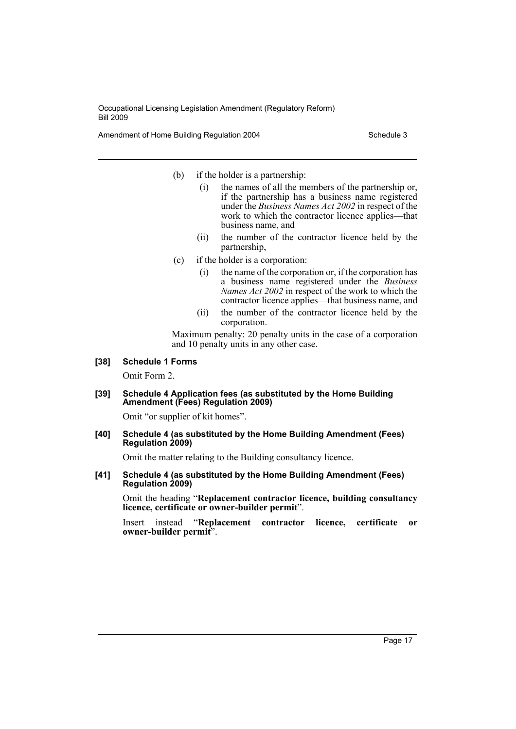Amendment of Home Building Regulation 2004 Schedule 3

- (b) if the holder is a partnership:
	- (i) the names of all the members of the partnership or, if the partnership has a business name registered under the *Business Names Act 2002* in respect of the work to which the contractor licence applies—that business name, and
	- (ii) the number of the contractor licence held by the partnership,
- (c) if the holder is a corporation:
	- (i) the name of the corporation or, if the corporation has a business name registered under the *Business Names Act 2002* in respect of the work to which the contractor licence applies—that business name, and
	- (ii) the number of the contractor licence held by the corporation.

Maximum penalty: 20 penalty units in the case of a corporation and 10 penalty units in any other case.

#### **[38] Schedule 1 Forms**

Omit Form 2.

#### **[39] Schedule 4 Application fees (as substituted by the Home Building Amendment (Fees) Regulation 2009)**

Omit "or supplier of kit homes".

#### **[40] Schedule 4 (as substituted by the Home Building Amendment (Fees) Regulation 2009)**

Omit the matter relating to the Building consultancy licence.

#### **[41] Schedule 4 (as substituted by the Home Building Amendment (Fees) Regulation 2009)**

Omit the heading "**Replacement contractor licence, building consultancy licence, certificate or owner-builder permit**".

Insert instead "**Replacement contractor licence, certificate or owner-builder permit**".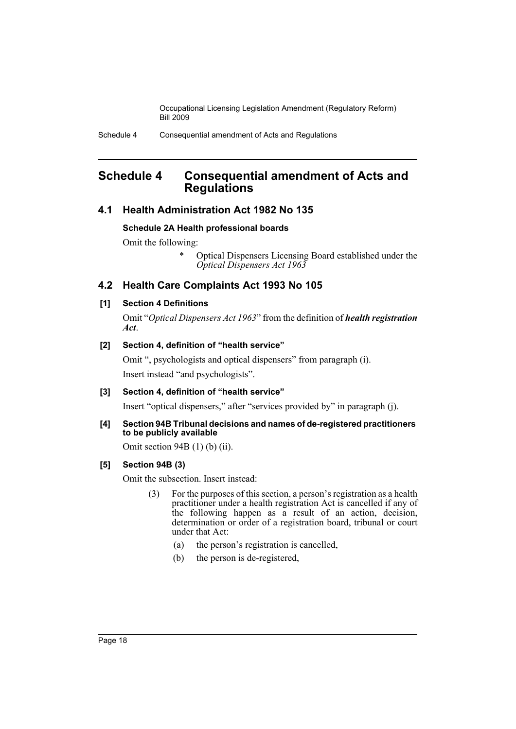# <span id="page-18-0"></span>**Schedule 4 Consequential amendment of Acts and Regulations**

# **4.1 Health Administration Act 1982 No 135**

#### **Schedule 2A Health professional boards**

Omit the following:

\* Optical Dispensers Licensing Board established under the *Optical Dispensers Act 1963*

# **4.2 Health Care Complaints Act 1993 No 105**

#### **[1] Section 4 Definitions**

Omit "*Optical Dispensers Act 1963*" from the definition of *health registration Act*.

#### **[2] Section 4, definition of "health service"**

Omit ", psychologists and optical dispensers" from paragraph (i). Insert instead "and psychologists".

# **[3] Section 4, definition of "health service"**

Insert "optical dispensers," after "services provided by" in paragraph (j).

#### **[4] Section 94B Tribunal decisions and names of de-registered practitioners to be publicly available**

Omit section 94B (1) (b) (ii).

# **[5] Section 94B (3)**

Omit the subsection. Insert instead:

- (3) For the purposes of this section, a person's registration as a health practitioner under a health registration Act is cancelled if any of the following happen as a result of an action, decision, determination or order of a registration board, tribunal or court under that Act:
	- (a) the person's registration is cancelled,
	- (b) the person is de-registered,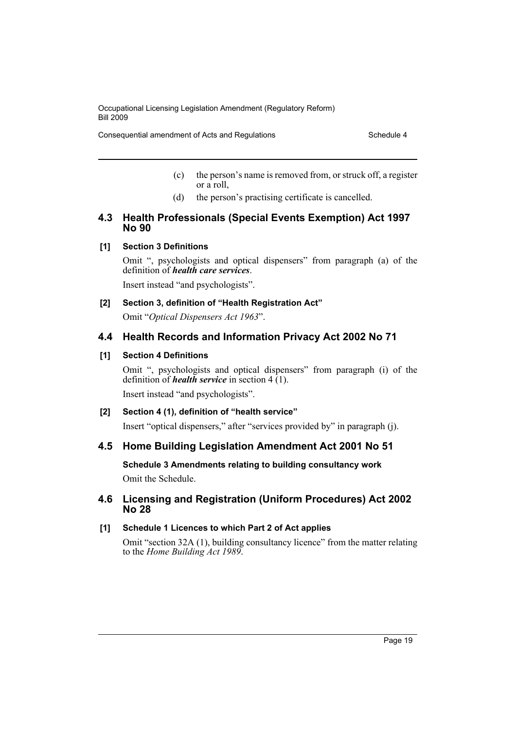Consequential amendment of Acts and Regulations Schedule 4

- (c) the person's name is removed from, or struck off, a register or a roll,
- (d) the person's practising certificate is cancelled.

## **4.3 Health Professionals (Special Events Exemption) Act 1997 No 90**

#### **[1] Section 3 Definitions**

Omit ", psychologists and optical dispensers" from paragraph (a) of the definition of *health care services*.

Insert instead "and psychologists".

#### **[2] Section 3, definition of "Health Registration Act"**

Omit "*Optical Dispensers Act 1963*".

# **4.4 Health Records and Information Privacy Act 2002 No 71**

#### **[1] Section 4 Definitions**

Omit ", psychologists and optical dispensers" from paragraph (i) of the definition of *health service* in section 4 (1).

Insert instead "and psychologists".

## **[2] Section 4 (1), definition of "health service"**

Insert "optical dispensers," after "services provided by" in paragraph (j).

# **4.5 Home Building Legislation Amendment Act 2001 No 51**

**Schedule 3 Amendments relating to building consultancy work** Omit the Schedule.

# **4.6 Licensing and Registration (Uniform Procedures) Act 2002 No 28**

# **[1] Schedule 1 Licences to which Part 2 of Act applies**

Omit "section 32A (1), building consultancy licence" from the matter relating to the *Home Building Act 1989*.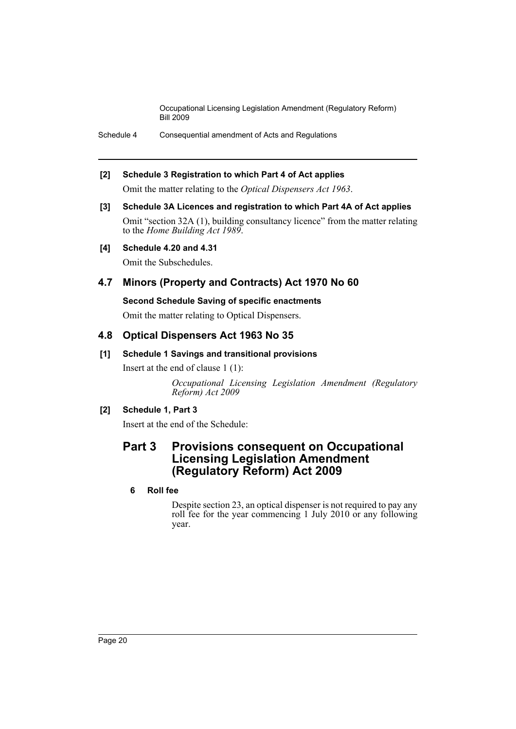Schedule 4 Consequential amendment of Acts and Regulations

# **[2] Schedule 3 Registration to which Part 4 of Act applies**

Omit the matter relating to the *Optical Dispensers Act 1963*.

# **[3] Schedule 3A Licences and registration to which Part 4A of Act applies**

Omit "section 32A (1), building consultancy licence" from the matter relating to the *Home Building Act 1989*.

#### **[4] Schedule 4.20 and 4.31**

Omit the Subschedules.

# **4.7 Minors (Property and Contracts) Act 1970 No 60**

#### **Second Schedule Saving of specific enactments**

Omit the matter relating to Optical Dispensers.

# **4.8 Optical Dispensers Act 1963 No 35**

# **[1] Schedule 1 Savings and transitional provisions**

Insert at the end of clause 1 (1):

*Occupational Licensing Legislation Amendment (Regulatory Reform) Act 2009*

# **[2] Schedule 1, Part 3**

Insert at the end of the Schedule:

# **Part 3 Provisions consequent on Occupational Licensing Legislation Amendment (Regulatory Reform) Act 2009**

# **6 Roll fee**

Despite section 23, an optical dispenser is not required to pay any roll fee for the year commencing 1 July 2010 or any following year.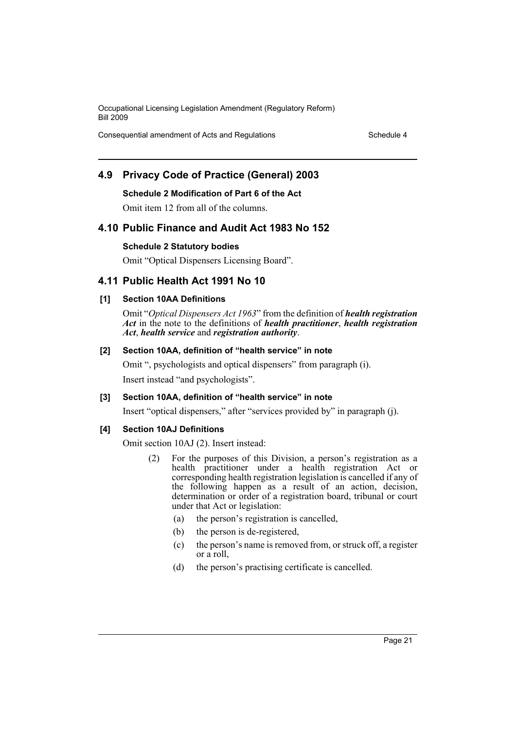Consequential amendment of Acts and Regulations Schedule 4

# **4.9 Privacy Code of Practice (General) 2003**

#### **Schedule 2 Modification of Part 6 of the Act**

Omit item 12 from all of the columns.

#### **4.10 Public Finance and Audit Act 1983 No 152**

#### **Schedule 2 Statutory bodies**

Omit "Optical Dispensers Licensing Board".

# **4.11 Public Health Act 1991 No 10**

## **[1] Section 10AA Definitions**

Omit "*Optical Dispensers Act 1963*" from the definition of *health registration Act* in the note to the definitions of *health practitioner*, *health registration Act*, *health service* and *registration authority*.

#### **[2] Section 10AA, definition of "health service" in note**

Omit ", psychologists and optical dispensers" from paragraph (i). Insert instead "and psychologists".

#### **[3] Section 10AA, definition of "health service" in note**

Insert "optical dispensers," after "services provided by" in paragraph (j).

#### **[4] Section 10AJ Definitions**

Omit section 10AJ (2). Insert instead:

- (2) For the purposes of this Division, a person's registration as a health practitioner under a health registration Act or corresponding health registration legislation is cancelled if any of the following happen as a result of an action, decision, determination or order of a registration board, tribunal or court under that Act or legislation:
	- (a) the person's registration is cancelled,
	- (b) the person is de-registered,
	- (c) the person's name is removed from, or struck off, a register or a roll,
	- (d) the person's practising certificate is cancelled.